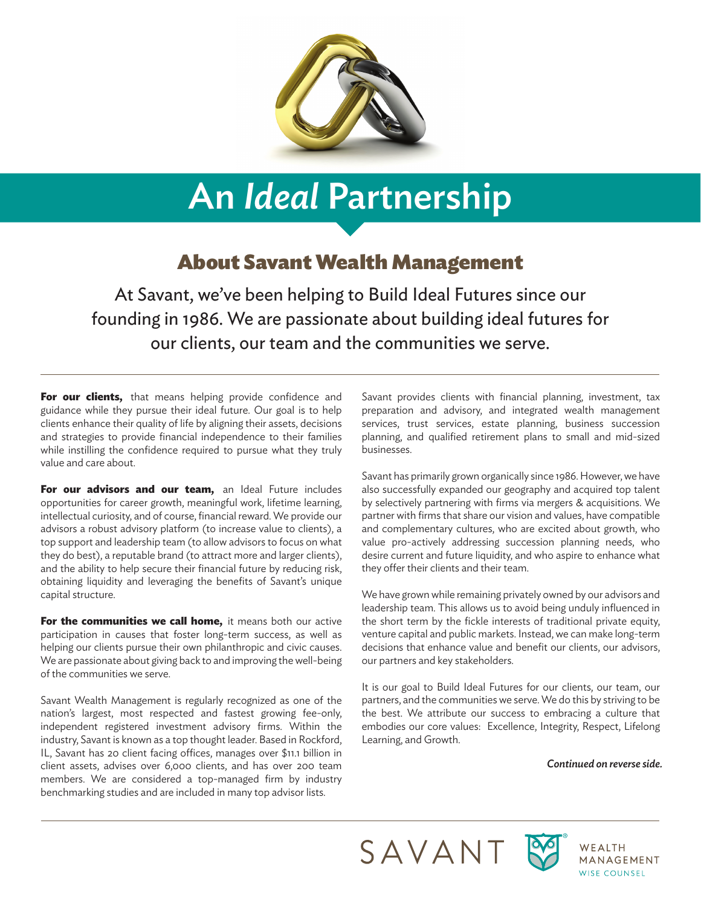

# An *Ideal* Partnership

### About Savant Wealth Management

At Savant, we've been helping to Build Ideal Futures since our founding in 1986. We are passionate about building ideal futures for our clients, our team and the communities we serve.

For our clients, that means helping provide confidence and guidance while they pursue their ideal future. Our goal is to help clients enhance their quality of life by aligning their assets, decisions and strategies to provide financial independence to their families while instilling the confidence required to pursue what they truly value and care about.

**For our advisors and our team, an Ideal Future includes** opportunities for career growth, meaningful work, lifetime learning, intellectual curiosity, and of course, financial reward. We provide our advisors a robust advisory platform (to increase value to clients), a top support and leadership team (to allow advisors to focus on what they do best), a reputable brand (to attract more and larger clients), and the ability to help secure their financial future by reducing risk, obtaining liquidity and leveraging the benefits of Savant's unique capital structure.

**For the communities we call home,** it means both our active participation in causes that foster long-term success, as well as helping our clients pursue their own philanthropic and civic causes. We are passionate about giving back to and improving the well-being of the communities we serve.

Savant Wealth Management is regularly recognized as one of the nation's largest, most respected and fastest growing fee-only, independent registered investment advisory firms. Within the industry, Savant is known as a top thought leader. Based in Rockford, IL, Savant has 20 client facing offices, manages over \$11.1 billion in client assets, advises over 6,000 clients, and has over 200 team members. We are considered a top-managed firm by industry benchmarking studies and are included in many top advisor lists.

Savant provides clients with financial planning, investment, tax preparation and advisory, and integrated wealth management services, trust services, estate planning, business succession planning, and qualified retirement plans to small and mid-sized businesses.

Savant has primarily grown organically since 1986. However, we have also successfully expanded our geography and acquired top talent by selectively partnering with firms via mergers & acquisitions. We partner with firms that share our vision and values, have compatible and complementary cultures, who are excited about growth, who value pro-actively addressing succession planning needs, who desire current and future liquidity, and who aspire to enhance what they offer their clients and their team.

We have grown while remaining privately owned by our advisors and leadership team. This allows us to avoid being unduly influenced in the short term by the fickle interests of traditional private equity, venture capital and public markets. Instead, we can make long-term decisions that enhance value and benefit our clients, our advisors, our partners and key stakeholders.

It is our goal to Build Ideal Futures for our clients, our team, our partners, and the communities we serve. We do this by striving to be the best. We attribute our success to embracing a culture that embodies our core values: Excellence, Integrity, Respect, Lifelong Learning, and Growth.

*Continued on reverse side.*